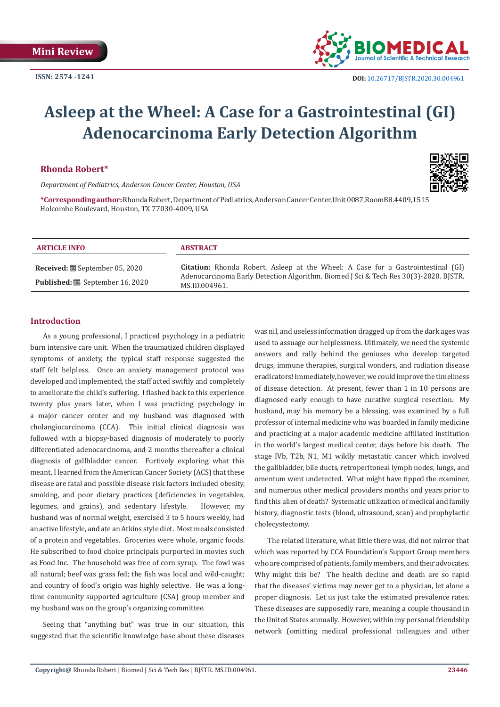

# **Asleep at the Wheel: A Case for a Gastrointestinal (GI) Adenocarcinoma Early Detection Algorithm**

#### **Rhonda Robert\***

*Department of Pediatrics, Anderson Cancer Center, Houston, USA*

**\*Corresponding author:** Rhonda Robert, Department of Pediatrics, Anderson Cancer Center,Unit 0087,RoomB8.4409,1515 Holcombe Boulevard, Houston, TX 77030-4009, USA

#### **ARTICLE INFO ABSTRACT**

**Received:** September 05, 2020 **Published:** September 16, 2020

**Citation:** Rhonda Robert. Asleep at the Wheel: A Case for a Gastrointestinal (GI) Adenocarcinoma Early Detection Algorithm. Biomed J Sci & Tech Res 30(3)-2020. BJSTR. MS.ID.004961.

# **Introduction**

As a young professional, I practiced psychology in a pediatric burn intensive care unit. When the traumatized children displayed symptoms of anxiety, the typical staff response suggested the staff felt helpless. Once an anxiety management protocol was developed and implemented, the staff acted swiftly and completely to ameliorate the child's suffering. I flashed back to this experience twenty plus years later, when I was practicing psychology in a major cancer center and my husband was diagnosed with cholangiocarcinoma (CCA). This initial clinical diagnosis was followed with a biopsy-based diagnosis of moderately to poorly differentiated adenocarcinoma, and 2 months thereafter a clinical diagnosis of gallbladder cancer. Furtively exploring what this meant, I learned from the American Cancer Society (ACS) that these disease are fatal and possible disease risk factors included obesity, smoking, and poor dietary practices (deficiencies in vegetables, legumes, and grains), and sedentary lifestyle. However, my husband was of normal weight, exercised 3 to 5 hours weekly, had an active lifestyle, and ate an Atkins style diet. Most meals consisted of a protein and vegetables. Groceries were whole, organic foods. He subscribed to food choice principals purported in movies such as Food Inc. The household was free of corn syrup. The fowl was all natural; beef was grass fed; the fish was local and wild-caught; and country of food's origin was highly selective. He was a longtime community supported agriculture (CSA) group member and my husband was on the group's organizing committee.

Seeing that "anything but" was true in our situation, this suggested that the scientific knowledge base about these diseases

was nil, and useless information dragged up from the dark ages was used to assuage our helplessness. Ultimately, we need the systemic answers and rally behind the geniuses who develop targeted drugs, immune therapies, surgical wonders, and radiation disease eradicators! Immediately, however, we could improve the timeliness of disease detection. At present, fewer than 1 in 10 persons are diagnosed early enough to have curative surgical resection. My husband, may his memory be a blessing, was examined by a full professor of internal medicine who was boarded in family medicine and practicing at a major academic medicine affiliated institution in the world's largest medical center, days before his death. The stage IVb, T2b, N1, M1 wildly metastatic cancer which involved the gallbladder, bile ducts, retroperitoneal lymph nodes, lungs, and omentum went undetected. What might have tipped the examiner, and numerous other medical providers months and years prior to find this alien of death? Systematic utilization of medical and family history, diagnostic tests (blood, ultrasound, scan) and prophylactic cholecystectomy.

The related literature, what little there was, did not mirror that which was reported by CCA Foundation's Support Group members who are comprised of patients, family members, and their advocates. Why might this be? The health decline and death are so rapid that the diseases' victims may never get to a physician, let alone a proper diagnosis. Let us just take the estimated prevalence rates. These diseases are supposedly rare, meaning a couple thousand in the United States annually. However, within my personal friendship network (omitting medical professional colleagues and other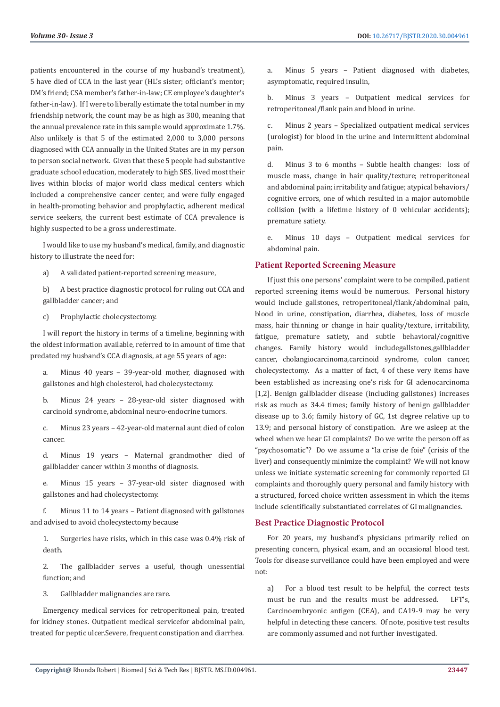patients encountered in the course of my husband's treatment), 5 have died of CCA in the last year (HL's sister; officiant's mentor; DM's friend; CSA member's father-in-law; CE employee's daughter's father-in-law). If I were to liberally estimate the total number in my friendship network, the count may be as high as 300, meaning that the annual prevalence rate in this sample would approximate 1.7%. Also unlikely is that 5 of the estimated 2,000 to 3,000 persons diagnosed with CCA annually in the United States are in my person to person social network. Given that these 5 people had substantive graduate school education, moderately to high SES, lived most their lives within blocks of major world class medical centers which included a comprehensive cancer center, and were fully engaged in health-promoting behavior and prophylactic, adherent medical service seekers, the current best estimate of CCA prevalence is highly suspected to be a gross underestimate.

I would like to use my husband's medical, family, and diagnostic history to illustrate the need for:

a) A validated patient-reported screening measure,

b) A best practice diagnostic protocol for ruling out CCA and gallbladder cancer; and

c) Prophylactic cholecystectomy.

I will report the history in terms of a timeline, beginning with the oldest information available, referred to in amount of time that predated my husband's CCA diagnosis, at age 55 years of age:

a. Minus 40 years – 39-year-old mother, diagnosed with gallstones and high cholesterol, had cholecystectomy.

b. Minus 24 years – 28-year-old sister diagnosed with carcinoid syndrome, abdominal neuro-endocrine tumors.

c. Minus 23 years – 42-year-old maternal aunt died of colon cancer.

d. Minus 19 years – Maternal grandmother died of gallbladder cancer within 3 months of diagnosis.

e. Minus 15 years – 37-year-old sister diagnosed with gallstones and had cholecystectomy.

f. Minus 11 to 14 years – Patient diagnosed with gallstones and advised to avoid cholecystectomy because

1. Surgeries have risks, which in this case was 0.4% risk of death.

2. The gallbladder serves a useful, though unessential function; and

3. Gallbladder malignancies are rare.

Emergency medical services for retroperitoneal pain, treated for kidney stones. Outpatient medical servicefor abdominal pain, treated for peptic ulcer.Severe, frequent constipation and diarrhea.

a. Minus 5 years – Patient diagnosed with diabetes, asymptomatic, required insulin,

b. Minus 3 years – Outpatient medical services for retroperitoneal/flank pain and blood in urine.

c. Minus 2 years – Specialized outpatient medical services (urologist) for blood in the urine and intermittent abdominal pain.

d. Minus 3 to 6 months – Subtle health changes: loss of muscle mass, change in hair quality/texture; retroperitoneal and abdominal pain; irritability and fatigue; atypical behaviors/ cognitive errors, one of which resulted in a major automobile collision (with a lifetime history of 0 vehicular accidents); premature satiety.

e. Minus 10 days – Outpatient medical services for abdominal pain.

# **Patient Reported Screening Measure**

If just this one persons' complaint were to be compiled, patient reported screening items would be numerous. Personal history would include gallstones, retroperitoneal/flank/abdominal pain, blood in urine, constipation, diarrhea, diabetes, loss of muscle mass, hair thinning or change in hair quality/texture, irritability, fatigue, premature satiety, and subtle behavioral/cognitive changes. Family history would includegallstones,gallbladder cancer, cholangiocarcinoma,carcinoid syndrome, colon cancer, cholecystectomy. As a matter of fact, 4 of these very items have been established as increasing one's risk for GI adenocarcinoma [1,2]. Benign gallbladder disease (including gallstones) increases risk as much as 34.4 times; family history of benign gallbladder disease up to 3.6; family history of GC, 1st degree relative up to 13.9; and personal history of constipation. Are we asleep at the wheel when we hear GI complaints? Do we write the person off as "psychosomatic"? Do we assume a "la crise de foie" (crisis of the liver) and consequently minimize the complaint? We will not know unless we initiate systematic screening for commonly reported GI complaints and thoroughly query personal and family history with a structured, forced choice written assessment in which the items include scientifically substantiated correlates of GI malignancies.

# **Best Practice Diagnostic Protocol**

For 20 years, my husband's physicians primarily relied on presenting concern, physical exam, and an occasional blood test. Tools for disease surveillance could have been employed and were not:

a) For a blood test result to be helpful, the correct tests must be run and the results must be addressed. LFT's, Carcinoembryonic antigen (CEA), and CA19-9 may be very helpful in detecting these cancers. Of note, positive test results are commonly assumed and not further investigated.